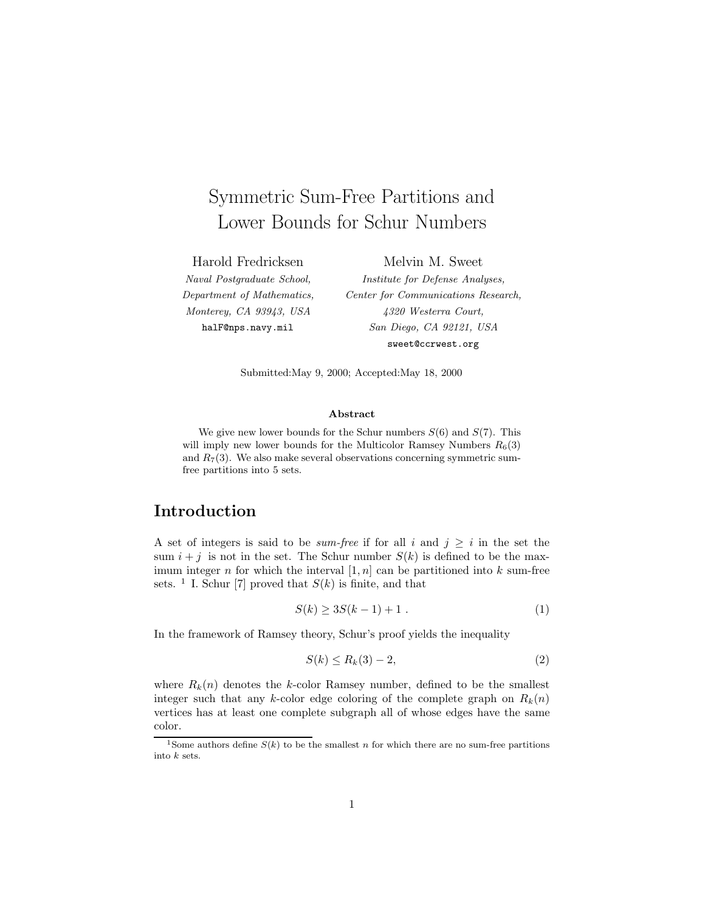# Symmetric Sum-Free Partitions and Lower Bounds for Schur Numbers

Harold Fredricksen Naval Postgraduate School, Department of Mathematics, Monterey, CA 93943, USA

halF@nps.navy.mil

Melvin M. Sweet Institute for Defense Analyses, Center for Communications Research, 4320 Westerra Court, San Diego, CA 92121, USA sweet@ccrwest.org

Submitted:May 9, 2000; Accepted:May 18, 2000

#### **Abstract**

We give new lower bounds for the Schur numbers  $S(6)$  and  $S(7)$ . This will imply new lower bounds for the Multicolor Ramsey Numbers  $R_6(3)$ and  $R_7(3)$ . We also make several observations concerning symmetric sumfree partitions into 5 sets.

# **Introduction**

A set of integers is said to be *sum-free* if for all i and  $j \geq i$  in the set the sum  $i + j$  is not in the set. The Schur number  $S(k)$  is defined to be the maximum integer n for which the interval  $[1, n]$  can be partitioned into k sum-free sets. <sup>1</sup> I. Schur [7] proved that  $S(k)$  is finite, and that

$$
S(k) \ge 3S(k-1) + 1 \tag{1}
$$

In the framework of Ramsey theory, Schur's proof yields the inequality

$$
S(k) \le R_k(3) - 2,\tag{2}
$$

where  $R_k(n)$  denotes the k-color Ramsey number, defined to be the smallest integer such that any k-color edge coloring of the complete graph on  $R_k(n)$ vertices has at least one complete subgraph all of whose edges have the same color.

<sup>&</sup>lt;sup>1</sup>Some authors define  $S(k)$  to be the smallest n for which there are no sum-free partitions into k sets.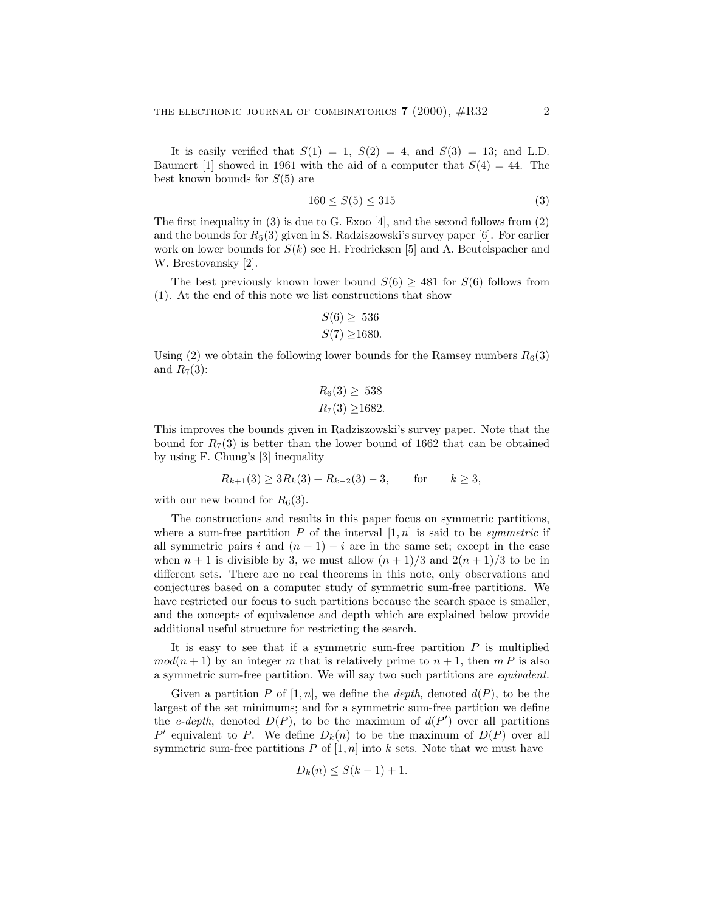It is easily verified that  $S(1) = 1$ ,  $S(2) = 4$ , and  $S(3) = 13$ ; and L.D. Baumert [1] showed in 1961 with the aid of a computer that  $S(4) = 44$ . The best known bounds for  $S(5)$  are

$$
160 \le S(5) \le 315\tag{3}
$$

The first inequality in (3) is due to G. Exoo [4], and the second follows from (2) and the bounds for  $R_5(3)$  given in S. Radziszowski's survey paper [6]. For earlier work on lower bounds for  $S(k)$  see H. Fredricksen [5] and A. Beutelspacher and W. Brestovansky [2].

The best previously known lower bound  $S(6) > 481$  for  $S(6)$  follows from (1). At the end of this note we list constructions that show

$$
S(6) \geq 536
$$
  

$$
S(7) \geq 1680.
$$

Using (2) we obtain the following lower bounds for the Ramsey numbers  $R_6(3)$ and  $R_7(3)$ :

$$
R_6(3) \ge 538
$$
  

$$
R_7(3) \ge 1682.
$$

This improves the bounds given in Radziszowski's survey paper. Note that the bound for  $R_7(3)$  is better than the lower bound of 1662 that can be obtained by using F. Chung's [3] inequality

$$
R_{k+1}(3) \ge 3R_k(3) + R_{k-2}(3) - 3
$$
, for  $k \ge 3$ ,

with our new bound for  $R_6(3)$ .

The constructions and results in this paper focus on symmetric partitions, where a sum-free partition P of the interval  $[1, n]$  is said to be *symmetric* if all symmetric pairs i and  $(n + 1) - i$  are in the same set; except in the case when  $n + 1$  is divisible by 3, we must allow  $(n + 1)/3$  and  $2(n + 1)/3$  to be in different sets. There are no real theorems in this note, only observations and conjectures based on a computer study of symmetric sum-free partitions. We have restricted our focus to such partitions because the search space is smaller, and the concepts of equivalence and depth which are explained below provide additional useful structure for restricting the search.

It is easy to see that if a symmetric sum-free partition  $P$  is multiplied  $mod(n + 1)$  by an integer m that is relatively prime to  $n + 1$ , then m P is also a symmetric sum-free partition. We will say two such partitions are equivalent.

Given a partition P of  $[1, n]$ , we define the *depth*, denoted  $d(P)$ , to be the largest of the set minimums; and for a symmetric sum-free partition we define the *e-depth*, denoted  $D(P)$ , to be the maximum of  $d(P')$  over all partitions P' equivalent to P. We define  $D_k(n)$  to be the maximum of  $D(P)$  over all symmetric sum-free partitions P of  $[1, n]$  into k sets. Note that we must have

$$
D_k(n) \le S(k-1) + 1.
$$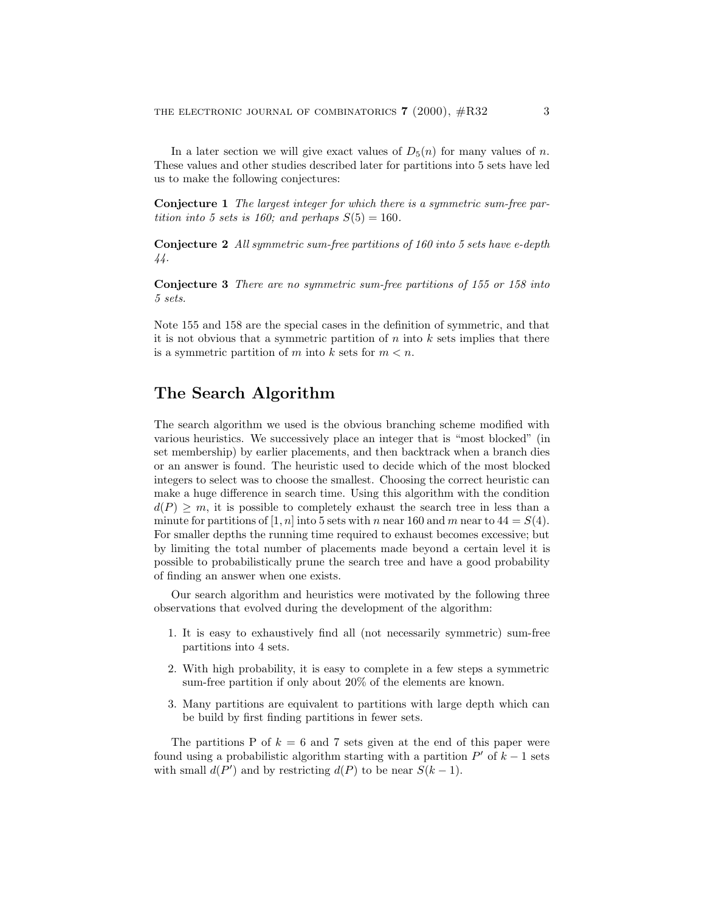In a later section we will give exact values of  $D_5(n)$  for many values of n. These values and other studies described later for partitions into 5 sets have led us to make the following conjectures:

**Conjecture 1** The largest integer for which there is a symmetric sum-free partition into 5 sets is 160; and perhaps  $S(5) = 160$ .

**Conjecture 2** All symmetric sum-free partitions of 160 into 5 sets have e-depth 44.

**Conjecture 3** There are no symmetric sum-free partitions of 155 or 158 into 5 sets.

Note 155 and 158 are the special cases in the definition of symmetric, and that it is not obvious that a symmetric partition of  $n$  into  $k$  sets implies that there is a symmetric partition of m into k sets for  $m < n$ .

## **The Search Algorithm**

The search algorithm we used is the obvious branching scheme modified with various heuristics. We successively place an integer that is "most blocked" (in set membership) by earlier placements, and then backtrack when a branch dies or an answer is found. The heuristic used to decide which of the most blocked integers to select was to choose the smallest. Choosing the correct heuristic can make a huge difference in search time. Using this algorithm with the condition  $d(P) \geq m$ , it is possible to completely exhaust the search tree in less than a minute for partitions of [1, n] into 5 sets with n near 160 and m near to  $44 = S(4)$ . For smaller depths the running time required to exhaust becomes excessive; but by limiting the total number of placements made beyond a certain level it is possible to probabilistically prune the search tree and have a good probability of finding an answer when one exists.

Our search algorithm and heuristics were motivated by the following three observations that evolved during the development of the algorithm:

- 1. It is easy to exhaustively find all (not necessarily symmetric) sum-free partitions into 4 sets.
- 2. With high probability, it is easy to complete in a few steps a symmetric sum-free partition if only about 20% of the elements are known.
- 3. Many partitions are equivalent to partitions with large depth which can be build by first finding partitions in fewer sets.

The partitions P of  $k = 6$  and 7 sets given at the end of this paper were found using a probabilistic algorithm starting with a partition  $P'$  of  $k - 1$  sets with small  $d(P')$  and by restricting  $d(P)$  to be near  $S(k-1)$ .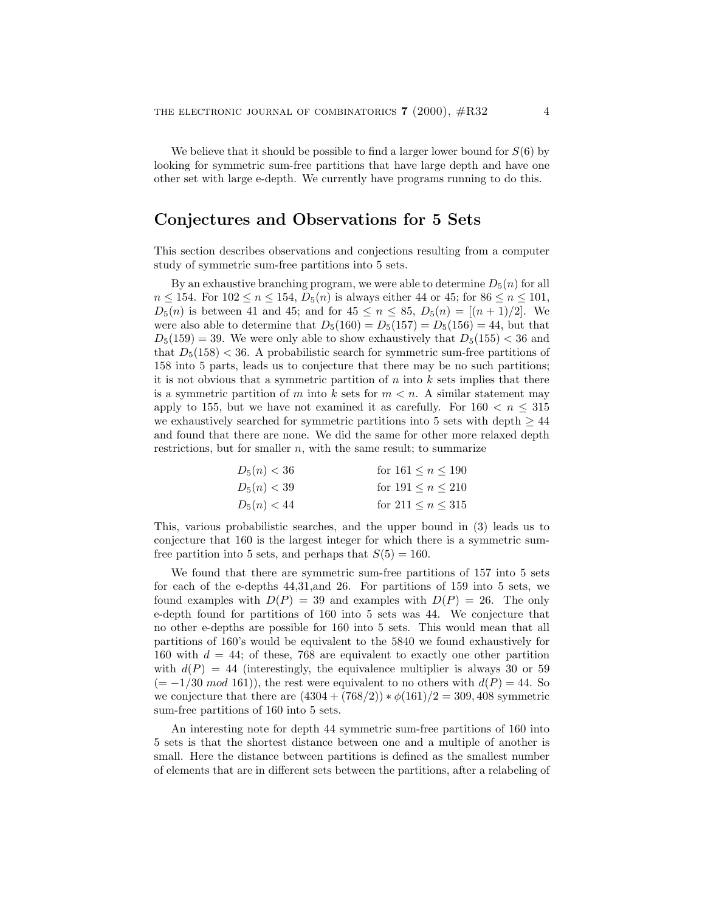We believe that it should be possible to find a larger lower bound for  $S(6)$  by looking for symmetric sum-free partitions that have large depth and have one other set with large e-depth. We currently have programs running to do this.

## **Conjectures and Observations for 5 Sets**

This section describes observations and conjections resulting from a computer study of symmetric sum-free partitions into 5 sets.

By an exhaustive branching program, we were able to determine  $D_5(n)$  for all  $n \le 154$ . For  $102 \le n \le 154$ ,  $D_5(n)$  is always either 44 or 45; for  $86 \le n \le 101$ ,  $D_5(n)$  is between 41 and 45; and for  $45 \le n \le 85$ ,  $D_5(n) = [(n+1)/2]$ . We were also able to determine that  $D_5(160) = D_5(157) = D_5(156) = 44$ , but that  $D_5(159) = 39$ . We were only able to show exhaustively that  $D_5(155) < 36$  and that  $D_5(158) < 36$ . A probabilistic search for symmetric sum-free partitions of 158 into 5 parts, leads us to conjecture that there may be no such partitions; it is not obvious that a symmetric partition of  $n$  into  $k$  sets implies that there is a symmetric partition of m into k sets for  $m < n$ . A similar statement may apply to 155, but we have not examined it as carefully. For  $160 < n \leq 315$ we exhaustively searched for symmetric partitions into 5 sets with depth  $\geq 44$ and found that there are none. We did the same for other more relaxed depth restrictions, but for smaller  $n$ , with the same result; to summarize

| $D_5(n) < 36$ | for $161 \leq n \leq 190$ |
|---------------|---------------------------|
| $D_5(n) < 39$ | for $191 \le n \le 210$   |
| $D_5(n) < 44$ | for $211 \leq n \leq 315$ |

This, various probabilistic searches, and the upper bound in (3) leads us to conjecture that 160 is the largest integer for which there is a symmetric sumfree partition into 5 sets, and perhaps that  $S(5) = 160$ .

We found that there are symmetric sum-free partitions of 157 into 5 sets for each of the e-depths 44,31,and 26. For partitions of 159 into 5 sets, we found examples with  $D(P) = 39$  and examples with  $D(P) = 26$ . The only e-depth found for partitions of 160 into 5 sets was 44. We conjecture that no other e-depths are possible for 160 into 5 sets. This would mean that all partitions of 160's would be equivalent to the 5840 we found exhaustively for 160 with  $d = 44$ ; of these, 768 are equivalent to exactly one other partition with  $d(P) = 44$  (interestingly, the equivalence multiplier is always 30 or 59  $(=-1/30 \mod 161)$ , the rest were equivalent to no others with  $d(P) = 44$ . So we conjecture that there are  $(4304 + (768/2)) * \phi(161)/2 = 309,408$  symmetric sum-free partitions of 160 into 5 sets.

An interesting note for depth 44 symmetric sum-free partitions of 160 into 5 sets is that the shortest distance between one and a multiple of another is small. Here the distance between partitions is defined as the smallest number of elements that are in different sets between the partitions, after a relabeling of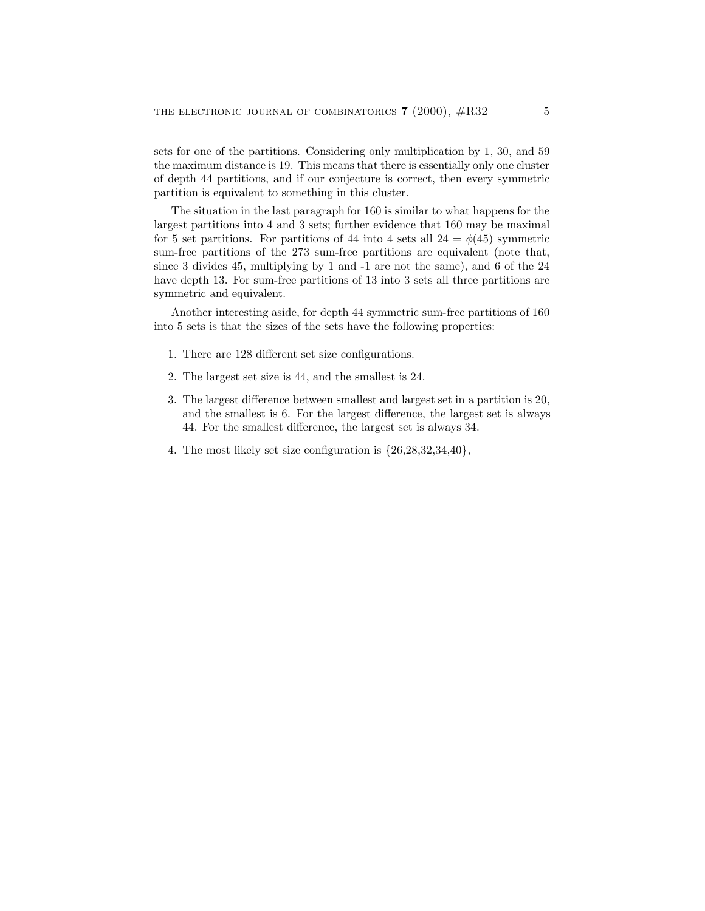sets for one of the partitions. Considering only multiplication by 1, 30, and 59 the maximum distance is 19. This means that there is essentially only one cluster of depth 44 partitions, and if our conjecture is correct, then every symmetric partition is equivalent to something in this cluster.

The situation in the last paragraph for 160 is similar to what happens for the largest partitions into 4 and 3 sets; further evidence that 160 may be maximal for 5 set partitions. For partitions of 44 into 4 sets all  $24 = \phi(45)$  symmetric sum-free partitions of the 273 sum-free partitions are equivalent (note that, since 3 divides 45, multiplying by 1 and -1 are not the same), and 6 of the 24 have depth 13. For sum-free partitions of 13 into 3 sets all three partitions are symmetric and equivalent.

Another interesting aside, for depth 44 symmetric sum-free partitions of 160 into 5 sets is that the sizes of the sets have the following properties:

- 1. There are 128 different set size configurations.
- 2. The largest set size is 44, and the smallest is 24.
- 3. The largest difference between smallest and largest set in a partition is 20, and the smallest is 6. For the largest difference, the largest set is always 44. For the smallest difference, the largest set is always 34.
- 4. The most likely set size configuration is {26,28,32,34,40},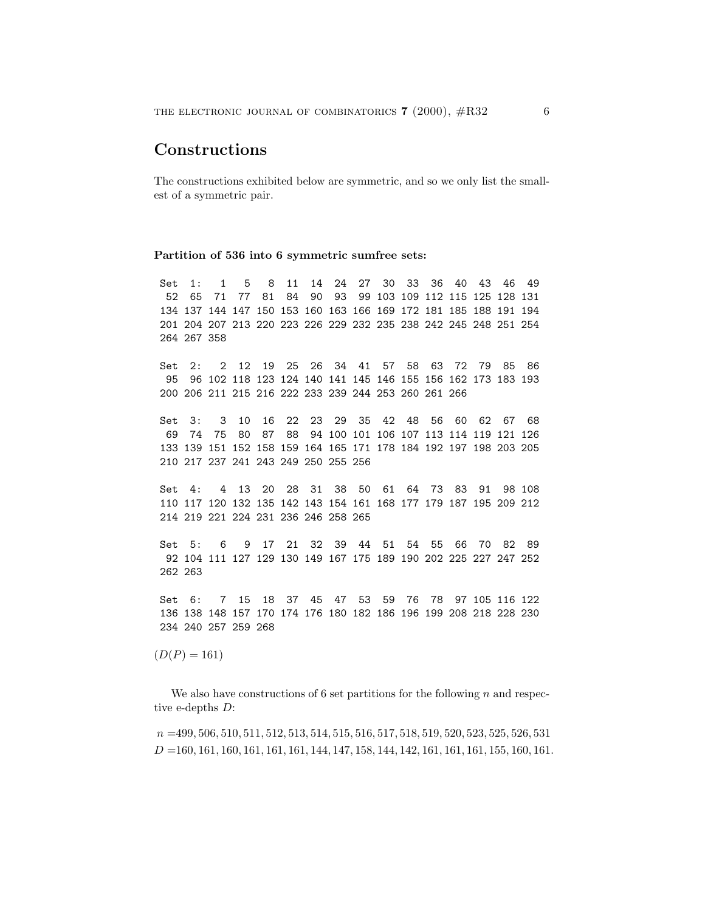## **Constructions**

The constructions exhibited below are symmetric, and so we only list the smallest of a symmetric pair.

#### **Partition of 536 into 6 symmetric sumfree sets:**

Set 1: 1 5 8 11 14 24 27 30 33 36 40 43 46 49 52 65 71 77 81 84 90 93 99 103 109 112 115 125 128 131 134 137 144 147 150 153 160 163 166 169 172 181 185 188 191 194 201 204 207 213 220 223 226 229 232 235 238 242 245 248 251 254 264 267 358

Set 2: 2 12 19 25 26 34 41 57 58 63 72 79 85 86 95 96 102 118 123 124 140 141 145 146 155 156 162 173 183 193 200 206 211 215 216 222 233 239 244 253 260 261 266

Set 3: 3 10 16 22 23 29 35 42 48 56 60 62 67 68 69 74 75 80 87 88 94 100 101 106 107 113 114 119 121 126 133 139 151 152 158 159 164 165 171 178 184 192 197 198 203 205 210 217 237 241 243 249 250 255 256

Set 4: 4 13 20 28 31 38 50 61 64 73 83 91 98 108 110 117 120 132 135 142 143 154 161 168 177 179 187 195 209 212 214 219 221 224 231 236 246 258 265

Set 5: 6 9 17 21 32 39 44 51 54 55 66 70 82 89 92 104 111 127 129 130 149 167 175 189 190 202 225 227 247 252 262 263

Set 6: 7 15 18 37 45 47 53 59 76 78 97 105 116 122 136 138 148 157 170 174 176 180 182 186 196 199 208 218 228 230 234 240 257 259 268

 $(D(P) = 161)$ 

We also have constructions of 6 set partitions for the following  $n$  and respective e-depths D:

 $n = 499, 506, 510, 511, 512, 513, 514, 515, 516, 517, 518, 519, 520, 523, 525, 526, 531$  $D = 160, 161, 160, 161, 161, 161, 144, 147, 158, 144, 142, 161, 161, 161, 155, 160, 161.$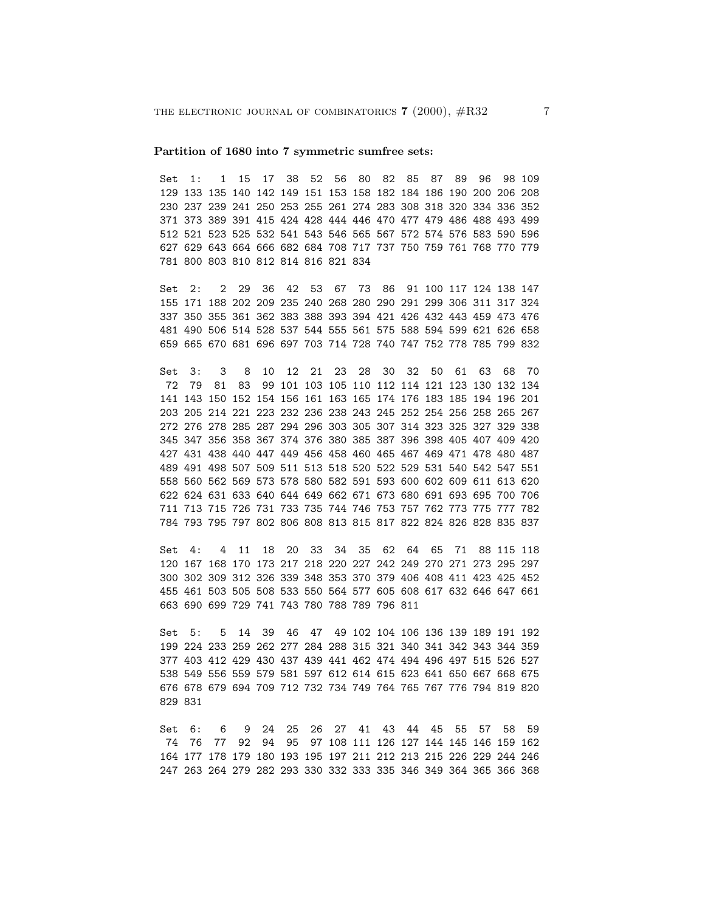#### **Partition of 1680 into 7 symmetric sumfree sets:**

Set 1: 1 15 17 38 52 56 80 82 85 87 89 96 98 109 129 133 135 140 142 149 151 153 158 182 184 186 190 200 206 208 230 237 239 241 250 253 255 261 274 283 308 318 320 334 336 352 371 373 389 391 415 424 428 444 446 470 477 479 486 488 493 499 512 521 523 525 532 541 543 546 565 567 572 574 576 583 590 596 627 629 643 664 666 682 684 708 717 737 750 759 761 768 770 779 781 800 803 810 812 814 816 821 834

Set 2: 2 29 36 42 53 67 73 86 91 100 117 124 138 147 155 171 188 202 209 235 240 268 280 290 291 299 306 311 317 324 337 350 355 361 362 383 388 393 394 421 426 432 443 459 473 476 481 490 506 514 528 537 544 555 561 575 588 594 599 621 626 658 659 665 670 681 696 697 703 714 728 740 747 752 778 785 799 832

Set 3: 3 8 10 12 21 23 28 30 32 50 61 63 68 70 72 79 81 83 99 101 103 105 110 112 114 121 123 130 132 134 141 143 150 152 154 156 161 163 165 174 176 183 185 194 196 201 203 205 214 221 223 232 236 238 243 245 252 254 256 258 265 267 272 276 278 285 287 294 296 303 305 307 314 323 325 327 329 338 345 347 356 358 367 374 376 380 385 387 396 398 405 407 409 420 427 431 438 440 447 449 456 458 460 465 467 469 471 478 480 487 489 491 498 507 509 511 513 518 520 522 529 531 540 542 547 551 558 560 562 569 573 578 580 582 591 593 600 602 609 611 613 620 622 624 631 633 640 644 649 662 671 673 680 691 693 695 700 706 711 713 715 726 731 733 735 744 746 753 757 762 773 775 777 782 784 793 795 797 802 806 808 813 815 817 822 824 826 828 835 837

Set 4: 4 11 18 20 33 34 35 62 64 65 71 88 115 118 120 167 168 170 173 217 218 220 227 242 249 270 271 273 295 297 300 302 309 312 326 339 348 353 370 379 406 408 411 423 425 452 455 461 503 505 508 533 550 564 577 605 608 617 632 646 647 661 663 690 699 729 741 743 780 788 789 796 811

Set 5: 5 14 39 46 47 49 102 104 106 136 139 189 191 192 199 224 233 259 262 277 284 288 315 321 340 341 342 343 344 359 377 403 412 429 430 437 439 441 462 474 494 496 497 515 526 527 538 549 556 559 579 581 597 612 614 615 623 641 650 667 668 675 676 678 679 694 709 712 732 734 749 764 765 767 776 794 819 820 829 831

Set 6: 6 9 24 25 26 27 41 43 44 45 55 57 58 59 74 76 77 92 94 95 97 108 111 126 127 144 145 146 159 162 164 177 178 179 180 193 195 197 211 212 213 215 226 229 244 246 247 263 264 279 282 293 330 332 333 335 346 349 364 365 366 368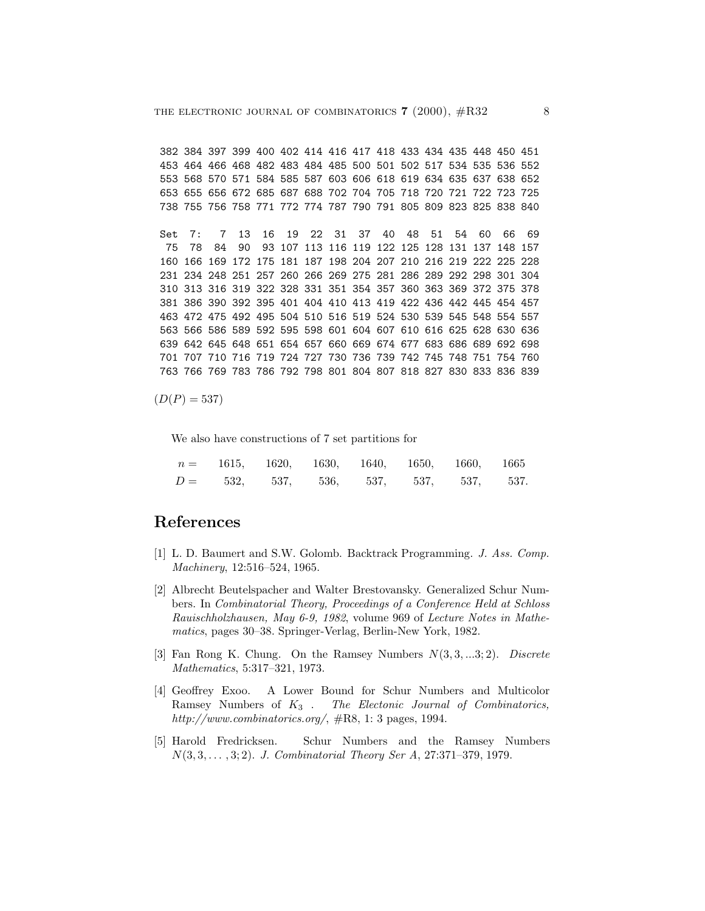382 384 397 399 400 402 414 416 417 418 433 434 435 448 450 451 453 464 466 468 482 483 484 485 500 501 502 517 534 535 536 552 553 568 570 571 584 585 587 603 606 618 619 634 635 637 638 652 653 655 656 672 685 687 688 702 704 705 718 720 721 722 723 725 738 755 756 758 771 772 774 787 790 791 805 809 823 825 838 840

Set 7: 7 13 16 19 22 31 37 40 48 51 54 60 66 69 75 78 84 90 93 107 113 116 119 122 125 128 131 137 148 157 160 166 169 172 175 181 187 198 204 207 210 216 219 222 225 228 231 234 248 251 257 260 266 269 275 281 286 289 292 298 301 304 310 313 316 319 322 328 331 351 354 357 360 363 369 372 375 378 381 386 390 392 395 401 404 410 413 419 422 436 442 445 454 457 463 472 475 492 495 504 510 516 519 524 530 539 545 548 554 557 563 566 586 589 592 595 598 601 604 607 610 616 625 628 630 636 639 642 645 648 651 654 657 660 669 674 677 683 686 689 692 698 701 707 710 716 719 724 727 730 736 739 742 745 748 751 754 760 763 766 769 783 786 792 798 801 804 807 818 827 830 833 836 839

 $(D(P) = 537)$ 

We also have constructions of 7 set partitions for

| $n = 1615, 1620, 1630, 1640, 1650, 1660, 1665$ |  |  |  |
|------------------------------------------------|--|--|--|
| $D = 532, 537, 536, 537, 537, 537, 537.$       |  |  |  |

### **References**

- [1] L. D. Baumert and S.W. Golomb. Backtrack Programming. J. Ass. Comp. Machinery, 12:516–524, 1965.
- [2] Albrecht Beutelspacher and Walter Brestovansky. Generalized Schur Numbers. In Combinatorial Theory, Proceedings of a Conference Held at Schloss Rauischholzhausen, May 6-9, 1982, volume 969 of Lecture Notes in Mathematics, pages 30–38. Springer-Verlag, Berlin-New York, 1982.
- [3] Fan Rong K. Chung. On the Ramsey Numbers  $N(3, 3, \ldots, 3; 2)$ . Discrete Mathematics, 5:317–321, 1973.
- [4] Geoffrey Exoo. A Lower Bound for Schur Numbers and Multicolor Ramsey Numbers of  $K_3$ . The Electonic Journal of Combinatorics, http://www.combinatorics.org/,  $\#R8$ , 1: 3 pages, 1994.
- [5] Harold Fredricksen. Schur Numbers and the Ramsey Numbers N(3, 3,... , 3;2). J. Combinatorial Theory Ser A, 27:371–379, 1979.